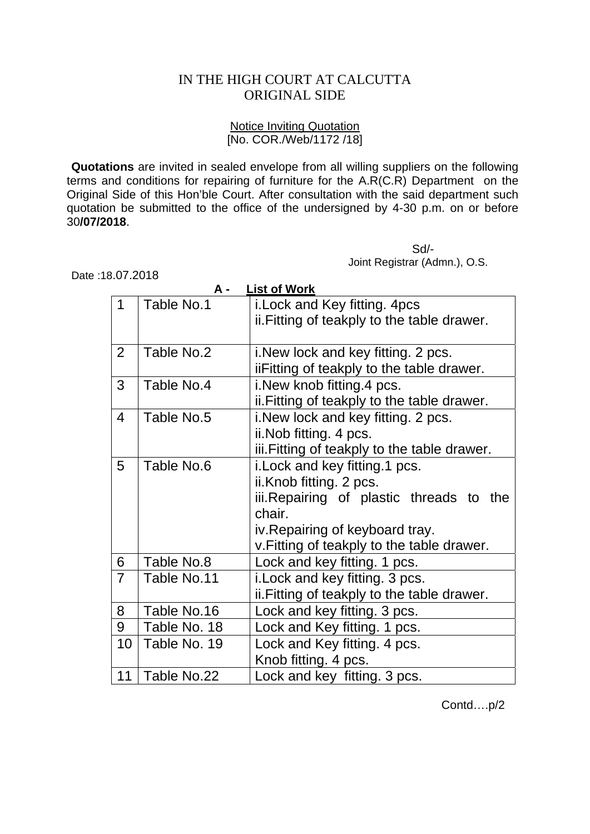## IN THE HIGH COURT AT CALCUTTA ORIGINAL SIDE

## Notice Inviting Quotation [No. COR./Web/1172 /18]

**Quotations** are invited in sealed envelope from all willing suppliers on the following terms and conditions for repairing of furniture for the A.R(C.R) Department on the Original Side of this Hon'ble Court. After consultation with the said department such quotation be submitted to the office of the undersigned by 4-30 p.m. on or before 30**/07/2018**.

 Sd/- Joint Registrar (Admn.), O.S.

Date :18.07.2018

|                | A -          | <b>List of Work</b>                          |
|----------------|--------------|----------------------------------------------|
| 1              | Table No.1   | i. Lock and Key fitting. 4pcs                |
|                |              | ii. Fitting of teakply to the table drawer.  |
|                |              |                                              |
| $\overline{2}$ | Table No.2   | i. New lock and key fitting. 2 pcs.          |
|                |              | iiFitting of teakply to the table drawer.    |
| 3              | Table No.4   | i. New knob fitting 4 pcs.                   |
|                |              | ii. Fitting of teakply to the table drawer.  |
| $\overline{4}$ | Table No.5   | i. New lock and key fitting. 2 pcs.          |
|                |              | ii. Nob fitting. 4 pcs.                      |
|                |              | iii. Fitting of teakply to the table drawer. |
| $5\phantom{1}$ | Table No.6   | i. Lock and key fitting. 1 pcs.              |
|                |              | ii.Knob fitting. 2 pcs.                      |
|                |              | iii. Repairing of plastic threads to the     |
|                |              | chair.                                       |
|                |              | iv. Repairing of keyboard tray.              |
|                |              | v. Fitting of teakply to the table drawer.   |
| 6              | Table No.8   | Lock and key fitting. 1 pcs.                 |
| $\overline{7}$ | Table No.11  | i. Lock and key fitting. 3 pcs.              |
|                |              | ii. Fitting of teakply to the table drawer.  |
| 8              | Table No.16  | Lock and key fitting. 3 pcs.                 |
| 9              | Table No. 18 | Lock and Key fitting. 1 pcs.                 |
| 10             | Table No. 19 | Lock and Key fitting. 4 pcs.                 |
|                |              | Knob fitting. 4 pcs.                         |
| 11             | Table No.22  | Lock and key fitting. 3 pcs.                 |

Contd….p/2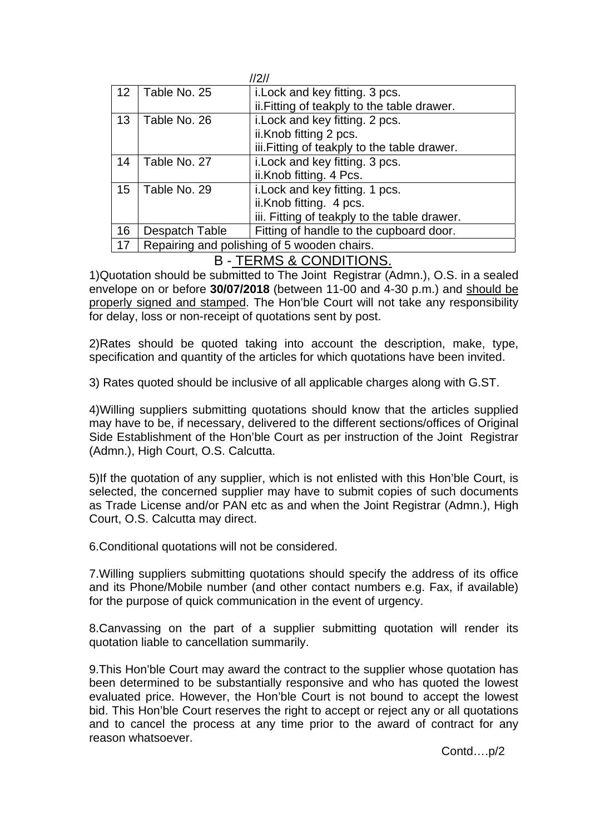| 2                 |                     |                                              |  |
|-------------------|---------------------|----------------------------------------------|--|
| $12 \overline{ }$ | Table No. 25        | i. Lock and key fitting. 3 pcs.              |  |
|                   |                     | ii. Fitting of teakply to the table drawer.  |  |
| 13                | Table No. 26        | i. Lock and key fitting. 2 pcs.              |  |
|                   |                     | ii.Knob fitting 2 pcs.                       |  |
|                   |                     | iii. Fitting of teakply to the table drawer. |  |
| 14                | Table No. 27        | i. Lock and key fitting. 3 pcs.              |  |
|                   |                     | ii.Knob fitting. 4 Pcs.                      |  |
| 15                | Table No. 29        | i. Lock and key fitting. 1 pcs.              |  |
|                   |                     | ii.Knob fitting. 4 pcs.                      |  |
|                   |                     | iii. Fitting of teakply to the table drawer. |  |
| 16                | Despatch Table      | Fitting of handle to the cupboard door.      |  |
| 17                |                     | Repairing and polishing of 5 wooden chairs.  |  |
|                   | ——————————————————— |                                              |  |

## B - TERMS & CONDITIONS.

1)Quotation should be submitted to The Joint Registrar (Admn.), O.S. in a sealed envelope on or before **30/07/2018** (between 11-00 and 4-30 p.m.) and should be properly signed and stamped. The Hon'ble Court will not take any responsibility for delay, loss or non-receipt of quotations sent by post.

2)Rates should be quoted taking into account the description, make, type, specification and quantity of the articles for which quotations have been invited.

3) Rates quoted should be inclusive of all applicable charges along with G.ST.

4)Willing suppliers submitting quotations should know that the articles supplied may have to be, if necessary, delivered to the different sections/offices of Original Side Establishment of the Hon'ble Court as per instruction of the Joint Registrar (Admn.), High Court, O.S. Calcutta.

5)If the quotation of any supplier, which is not enlisted with this Hon'ble Court, is selected, the concerned supplier may have to submit copies of such documents as Trade License and/or PAN etc as and when the Joint Registrar (Admn.), High Court, O.S. Calcutta may direct.

6.Conditional quotations will not be considered.

7.Willing suppliers submitting quotations should specify the address of its office and its Phone/Mobile number (and other contact numbers e.g. Fax, if available) for the purpose of quick communication in the event of urgency.

8.Canvassing on the part of a supplier submitting quotation will render its quotation liable to cancellation summarily.

9.This Hon'ble Court may award the contract to the supplier whose quotation has been determined to be substantially responsive and who has quoted the lowest evaluated price. However, the Hon'ble Court is not bound to accept the lowest bid. This Hon'ble Court reserves the right to accept or reject any or all quotations and to cancel the process at any time prior to the award of contract for any reason whatsoever.

Contd….p/2